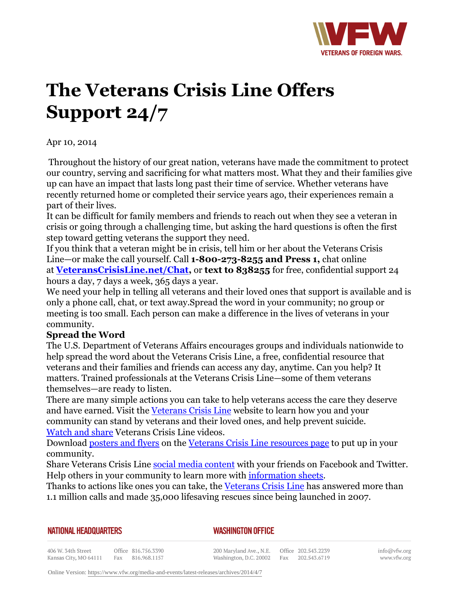

## **The Veterans Crisis Line Offers Support 24/7**

Apr 10, 2014

Throughout the history of our great nation, veterans have made the commitment to protect our country, serving and sacrificing for what matters most. What they and their families give up can have an impact that lasts long past their time of service. Whether veterans have recently returned home or completed their service years ago, their experiences remain a part of their lives.

It can be difficult for family members and friends to reach out when they see a veteran in crisis or going through a challenging time, but asking the hard questions is often the first step toward getting veterans the support they need.

If you think that a veteran might be in crisis, tell him or her about the Veterans Crisis Line—or make the call yourself. Call **1-800-273-8255 and Press 1,** chat online at **VeteransCrisisLine.net/Chat,** or **text to 838255** for free, confidential support 24 hours a day, 7 days a week, 365 days a year.

We need your help in telling all veterans and their loved ones that support is available and is only a phone call, chat, or text away.Spread the word in your community; no group or meeting is too small. Each person can make a difference in the lives of veterans in your community.

## **Spread the Word**

The U.S. Department of Veterans Affairs encourages groups and individuals nationwide to help spread the word about the Veterans Crisis Line, a free, confidential resource that veterans and their families and friends can access any day, anytime. Can you help? It matters. Trained professionals at the Veterans Crisis Line—some of them veterans themselves—are ready to listen.

There are many simple actions you can take to help veterans access the care they deserve and have earned. Visit the Veterans Crisis Line website to learn how you and your community can stand by veterans and their loved ones, and help prevent suicide. Watch and share Veterans Crisis Line videos.

Download posters and flyers on the Veterans Crisis Line resources page to put up in your community.

Share Veterans Crisis Line social media content with your friends on Facebook and Twitter. Help others in your community to learn more with information sheets.

Thanks to actions like ones you can take, the Veterans Crisis Line has answered more than 1.1 million calls and made 35,000 lifesaving rescues since being launched in 2007.

| NATIONAL HEADQUARTERS |  |
|-----------------------|--|
|-----------------------|--|

*WASHINGTON OFFICE* 

406 W. 34th Street Office 816.756.3390 Kansas City, MO 64111 Fax 816.968.1157

200 Maryland Ave., N.E. Washington, D.C. 20002 Fax 202.543.6719

Office 202.543.2239